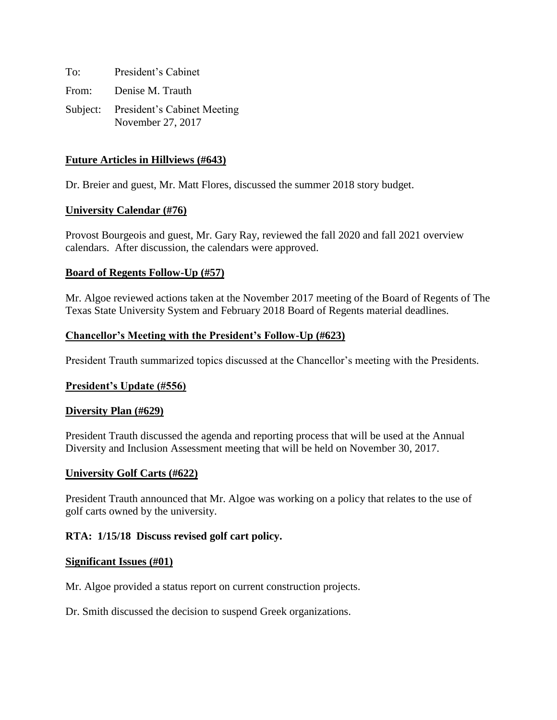To: President's Cabinet From: Denise M. Trauth Subject: President's Cabinet Meeting November 27, 2017

## **Future Articles in Hillviews (#643)**

Dr. Breier and guest, Mr. Matt Flores, discussed the summer 2018 story budget.

### **University Calendar (#76)**

Provost Bourgeois and guest, Mr. Gary Ray, reviewed the fall 2020 and fall 2021 overview calendars. After discussion, the calendars were approved.

### **Board of Regents Follow-Up (#57)**

Mr. Algoe reviewed actions taken at the November 2017 meeting of the Board of Regents of The Texas State University System and February 2018 Board of Regents material deadlines.

### **Chancellor's Meeting with the President's Follow-Up (#623)**

President Trauth summarized topics discussed at the Chancellor's meeting with the Presidents.

### **President's Update (#556)**

### **Diversity Plan (#629)**

President Trauth discussed the agenda and reporting process that will be used at the Annual Diversity and Inclusion Assessment meeting that will be held on November 30, 2017.

### **University Golf Carts (#622)**

President Trauth announced that Mr. Algoe was working on a policy that relates to the use of golf carts owned by the university.

### **RTA: 1/15/18 Discuss revised golf cart policy.**

#### **Significant Issues (#01)**

Mr. Algoe provided a status report on current construction projects.

Dr. Smith discussed the decision to suspend Greek organizations.